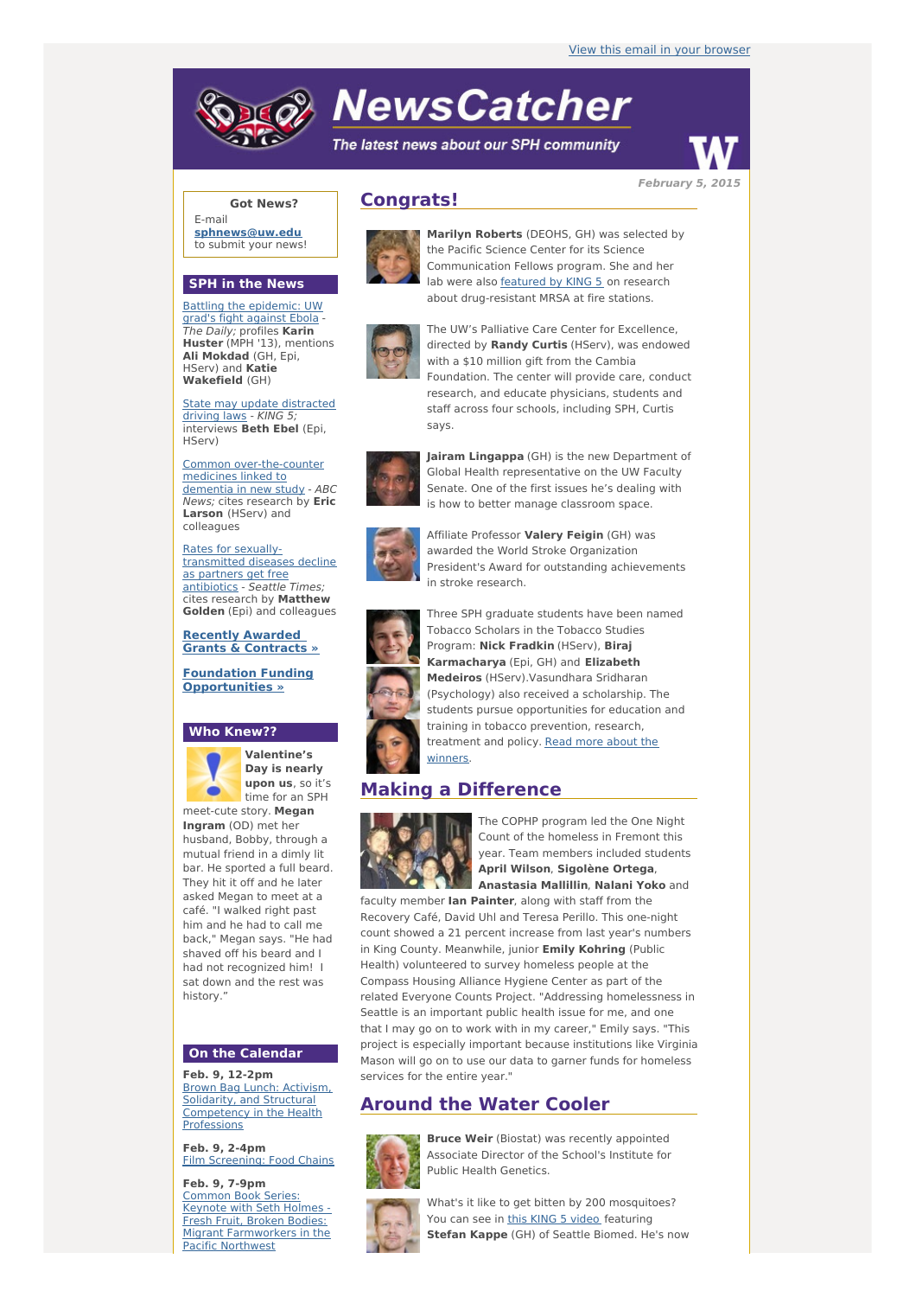# **NewsCatcher**

The latest news about our SPH community



**February 5, 2015**

## **Got News?**

E-mail **[sphnews@uw.edu](mailto:sphnews@uw.edu)** to submit your news!

#### **SPH in the News**

Battling the [epidemic:](http://engage.washington.edu/site/R?i=wa2ayJK1NUzigPCSjogwkw) UW grad's fight against Ebola - The Daily; profiles **Karin Huster** (MPH '13), mentions **Ali Mokdad** (GH, Epi, HServ) and **Katie Wakefield** (GH)

State may update [distracted](http://engage.washington.edu/site/R?i=rVmcDR7U825wTuqSg7_RoQ) driving laws - KING 5; interviews **Beth Ebel** (Epi, HServ)

Common [over-the-counter](http://engage.washington.edu/site/R?i=PypF67ySO-1bHbNUscseIg) medicines linked to dementia in new study - ABC News; cites research by **Eric Larson** (HServ) and colleagues

Rates for sexually[transmitted](http://engage.washington.edu/site/R?i=FlJoTnV4JXNBfoQfPIKe3g) diseases decline as partners get free antibiotics - Seattle Times; cites research by **Matthew Golden** (Epi) and colleagues

#### **Recently Awarded Grants & [Contracts](http://engage.washington.edu/site/R?i=crzyo4XOkNfGFb64MXHtww) »**

**Foundation Funding [Opportunities](http://engage.washington.edu/site/R?i=uOXcghL1DEdoodV4mqqxhA) »**

## **Who Knew??**



**Valentine's Day is nearly upon us**, so it's time for an SPH

meet-cute story. **Megan Ingram** (OD) met her husband, Bobby, through a mutual friend in a dimly lit bar. He sported a full beard. They hit it off and he later asked Megan to meet at a café. "I walked right past him and he had to call me back," Megan says. "He had shaved off his beard and I had not recognized him! I sat down and the rest was history."

## **On the Calendar**

**Feb. 9, 12-2pm** Brown Bag Lunch: Activism, Solidarity, and Structural [Competency](http://engage.washington.edu/site/R?i=jOhxHek8faEhu3y161_K2g) in the Health **Professions** 

**Feb. 9, 2-4pm** Film [Screening:](http://engage.washington.edu/site/R?i=zRjNzkFeVX_uUraNHPqvOw) Food Chains

**Feb. 9, 7-9pm** Common Book Series: Keynote with Seth Holmes - Fresh Fruit, Broken Bodies: Migrant [Farmworkers](http://engage.washington.edu/site/R?i=5TYyyKhUAgRxY7n6xCQuHw) in the Pacific Northwest

# **Congrats!**



**Marilyn Roberts** (DEOHS, GH) was selected by the Pacific Science Center for its Science Communication Fellows program. She and her lab were also [featured](http://engage.washington.edu/site/R?i=ByiXLoXvCxFIr6_xjU22aw) by KING 5 on research about drug-resistant MRSA at fire stations.



The UW's Palliative Care Center for Excellence, directed by **Randy Curtis** (HServ), was endowed with a \$10 million gift from the Cambia Foundation. The center will provide care, conduct research, and educate physicians, students and staff across four schools, including SPH, Curtis says.



**Jairam Lingappa** (GH) is the new Department of Global Health representative on the UW Faculty Senate. One of the first issues he's dealing with is how to better manage classroom space.



Affiliate Professor **Valery Feigin** (GH) was awarded the World Stroke Organization President's Award for outstanding achievements in stroke research.



Three SPH graduate students have been named Tobacco Scholars in the Tobacco Studies Program: **Nick Fradkin** (HServ), **Biraj Karmacharya** (Epi, GH) and **Elizabeth Medeiros** (HServ).Vasundhara Sridharan (Psychology) also received a scholarship. The students pursue opportunities for education and training in tobacco prevention, research, [treatment](http://engage.washington.edu/site/R?i=ZcLb2grT8HxmKHZygwlVbg) and policy. Read more about the winners.

## **Making a Difference**



The COPHP program led the One Night Count of the homeless in Fremont this year. Team members included students **April Wilson**, **Sigolène Ortega**, **Anastasia Mallillin**, **Nalani Yoko** and

faculty member **Ian Painter**, along with staff from the Recovery Café, David Uhl and Teresa Perillo. This one-night count showed a 21 percent increase from last year's numbers in King County. Meanwhile, junior **Emily Kohring** (Public Health) volunteered to survey homeless people at the Compass Housing Alliance Hygiene Center as part of the related Everyone Counts Project. "Addressing homelessness in Seattle is an important public health issue for me, and one that I may go on to work with in my career," Emily says. "This project is especially important because institutions like Virginia Mason will go on to use our data to garner funds for homeless services for the entire year."

## **Around the Water Cooler**



**Bruce Weir** (Biostat) was recently appointed Associate Director of the School's Institute for Public Health Genetics.



What's it like to get bitten by 200 mosquitoes? You can see in this KING 5 [video](http://engage.washington.edu/site/R?i=_AQKRJ0vVstSIjbrxlNMGg) featuring **Stefan Kappe** (GH) of Seattle Biomed. He's now